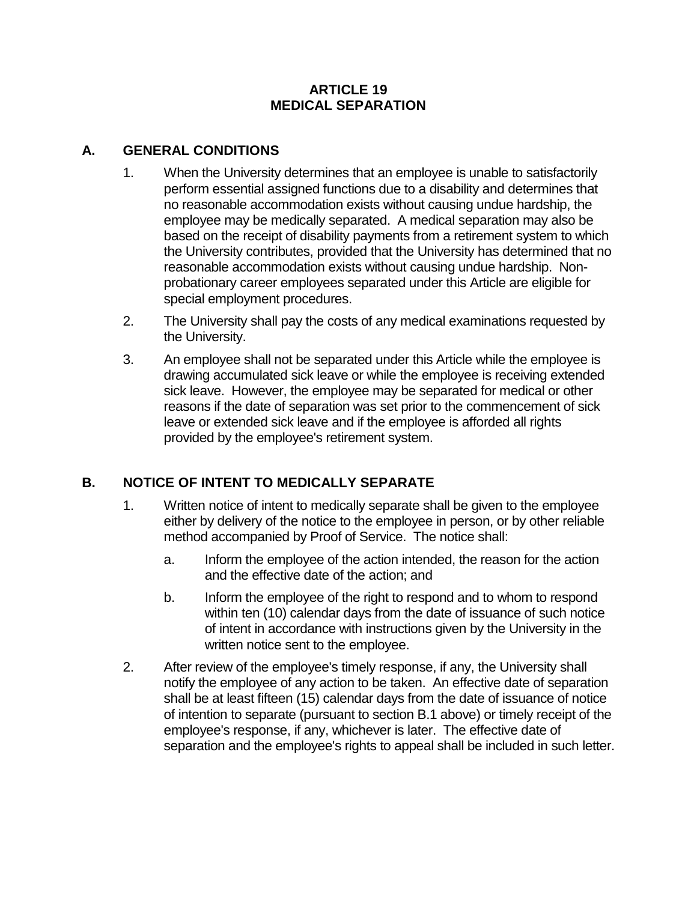## **ARTICLE 19 MEDICAL SEPARATION**

## **A. GENERAL CONDITIONS**

- 1. When the University determines that an employee is unable to satisfactorily perform essential assigned functions due to a disability and determines that no reasonable accommodation exists without causing undue hardship, the employee may be medically separated. A medical separation may also be based on the receipt of disability payments from a retirement system to which the University contributes, provided that the University has determined that no reasonable accommodation exists without causing undue hardship. Nonprobationary career employees separated under this Article are eligible for special employment procedures.
- 2. The University shall pay the costs of any medical examinations requested by the University.
- 3. An employee shall not be separated under this Article while the employee is drawing accumulated sick leave or while the employee is receiving extended sick leave. However, the employee may be separated for medical or other reasons if the date of separation was set prior to the commencement of sick leave or extended sick leave and if the employee is afforded all rights provided by the employee's retirement system.

## **B. NOTICE OF INTENT TO MEDICALLY SEPARATE**

- 1. Written notice of intent to medically separate shall be given to the employee either by delivery of the notice to the employee in person, or by other reliable method accompanied by Proof of Service. The notice shall:
	- a. Inform the employee of the action intended, the reason for the action and the effective date of the action; and
	- b. Inform the employee of the right to respond and to whom to respond within ten (10) calendar days from the date of issuance of such notice of intent in accordance with instructions given by the University in the written notice sent to the employee.
- 2. After review of the employee's timely response, if any, the University shall notify the employee of any action to be taken. An effective date of separation shall be at least fifteen (15) calendar days from the date of issuance of notice of intention to separate (pursuant to section B.1 above) or timely receipt of the employee's response, if any, whichever is later. The effective date of separation and the employee's rights to appeal shall be included in such letter.